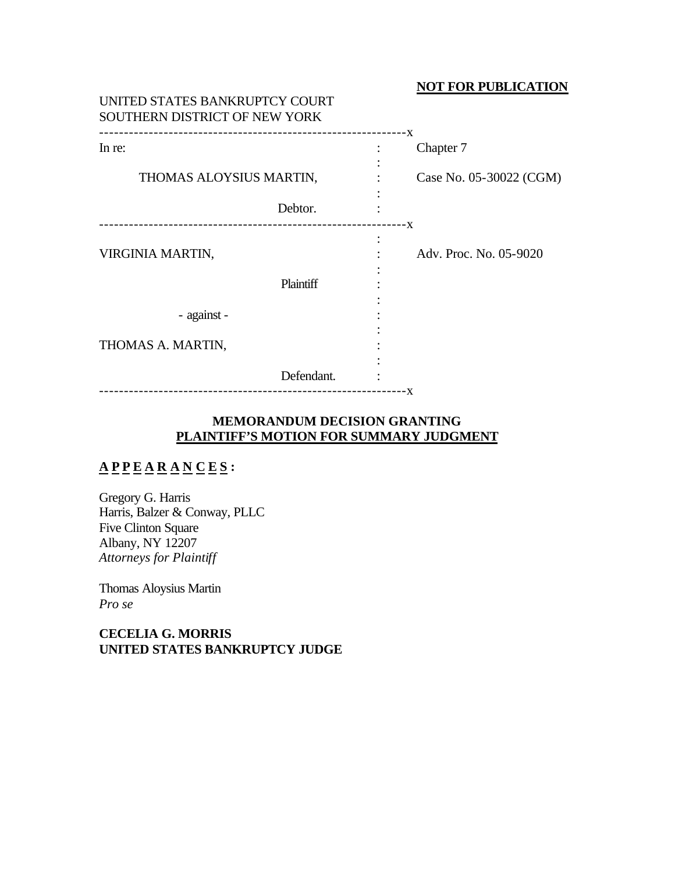## **NOT FOR PUBLICATION**

| UNITED STATES BANKRUPTCY COURT<br>SOUTHERN DISTRICT OF NEW YORK |                      |           |                         |
|-----------------------------------------------------------------|----------------------|-----------|-------------------------|
| In re:                                                          |                      |           | Chapter 7               |
| THOMAS ALOYSIUS MARTIN,                                         |                      |           | Case No. 05-30022 (CGM) |
|                                                                 | Debtor.              |           |                         |
| VIRGINIA MARTIN,                                                | Plaintiff            | $\bullet$ | Adv. Proc. No. 05-9020  |
| - against -                                                     |                      |           |                         |
| THOMAS A. MARTIN,                                               |                      |           |                         |
|                                                                 | Defendant.           |           |                         |
| ----------------------------                                    | -------------------- | - X       |                         |

# **MEMORANDUM DECISION GRANTING PLAINTIFF'S MOTION FOR SUMMARY JUDGMENT**

# **A P P E A R A N C E S :**

Gregory G. Harris Harris, Balzer & Conway, PLLC Five Clinton Square Albany, NY 12207 *Attorneys for Plaintiff*

Thomas Aloysius Martin *Pro se*

**CECELIA G. MORRIS UNITED STATES BANKRUPTCY JUDGE**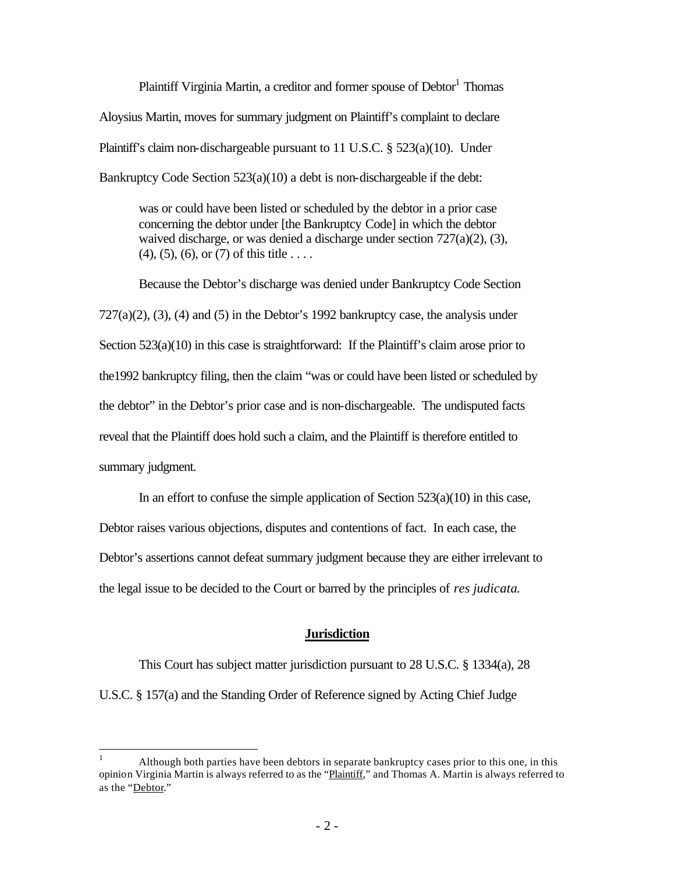Plaintiff Virginia Martin, a creditor and former spouse of Debtor<sup>1</sup> Thomas Aloysius Martin, moves for summary judgment on Plaintiff's complaint to declare Plaintiff's claim non-dischargeable pursuant to 11 U.S.C. § 523(a)(10). Under Bankruptcy Code Section 523(a)(10) a debt is non-dischargeable if the debt:

was or could have been listed or scheduled by the debtor in a prior case concerning the debtor under [the Bankruptcy Code] in which the debtor waived discharge, or was denied a discharge under section 727(a)(2), (3),  $(4)$ ,  $(5)$ ,  $(6)$ , or  $(7)$  of this title . . . .

Because the Debtor's discharge was denied under Bankruptcy Code Section  $727(a)(2)$ ,  $(3)$ ,  $(4)$  and  $(5)$  in the Debtor's 1992 bankruptcy case, the analysis under Section 523(a)(10) in this case is straightforward: If the Plaintiff's claim arose prior to the1992 bankruptcy filing, then the claim "was or could have been listed or scheduled by the debtor" in the Debtor's prior case and is non-dischargeable. The undisputed facts reveal that the Plaintiff does hold such a claim, and the Plaintiff is therefore entitled to summary judgment.

In an effort to confuse the simple application of Section  $523(a)(10)$  in this case, Debtor raises various objections, disputes and contentions of fact. In each case, the Debtor's assertions cannot defeat summary judgment because they are either irrelevant to the legal issue to be decided to the Court or barred by the principles of *res judicata*.

### **Jurisdiction**

This Court has subject matter jurisdiction pursuant to 28 U.S.C. § 1334(a), 28 U.S.C. § 157(a) and the Standing Order of Reference signed by Acting Chief Judge

 $\mathbf{1}$ <sup>1</sup> Although both parties have been debtors in separate bankruptcy cases prior to this one, in this opinion Virginia Martin is always referred to as the "Plaintiff," and Thomas A. Martin is always referred to as the "Debtor."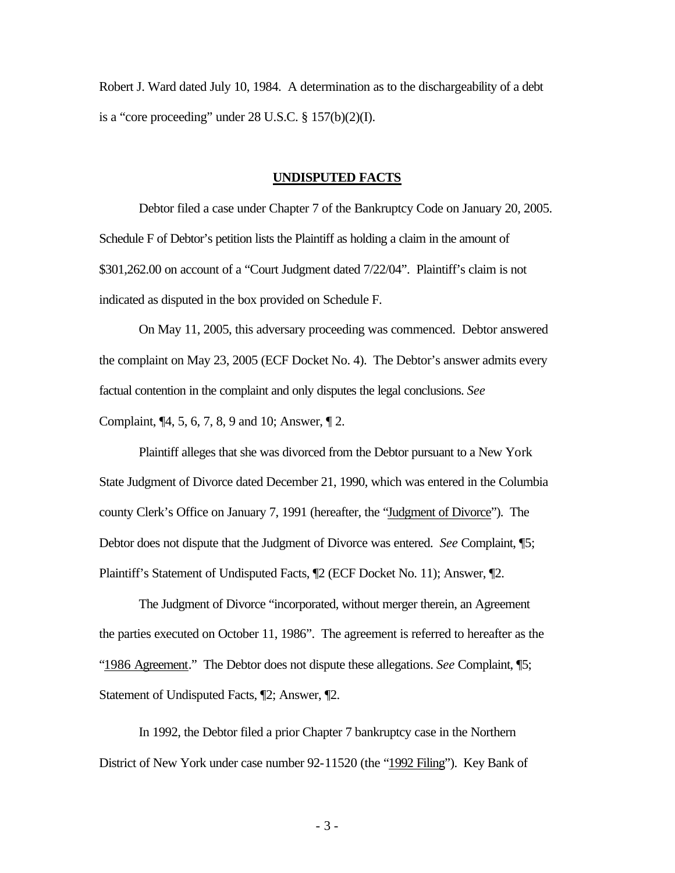Robert J. Ward dated July 10, 1984. A determination as to the dischargeability of a debt is a "core proceeding" under  $28$  U.S.C.  $\S$  157(b)(2)(I).

#### **UNDISPUTED FACTS**

Debtor filed a case under Chapter 7 of the Bankruptcy Code on January 20, 2005. Schedule F of Debtor's petition lists the Plaintiff as holding a claim in the amount of \$301,262.00 on account of a "Court Judgment dated 7/22/04". Plaintiff's claim is not indicated as disputed in the box provided on Schedule F.

On May 11, 2005, this adversary proceeding was commenced. Debtor answered the complaint on May 23, 2005 (ECF Docket No. 4). The Debtor's answer admits every factual contention in the complaint and only disputes the legal conclusions. *See*  Complaint, ¶4, 5, 6, 7, 8, 9 and 10; Answer, ¶ 2.

Plaintiff alleges that she was divorced from the Debtor pursuant to a New York State Judgment of Divorce dated December 21, 1990, which was entered in the Columbia county Clerk's Office on January 7, 1991 (hereafter, the "Judgment of Divorce"). The Debtor does not dispute that the Judgment of Divorce was entered. *See* Complaint, ¶5; Plaintiff's Statement of Undisputed Facts, ¶2 (ECF Docket No. 11); Answer, ¶2.

The Judgment of Divorce "incorporated, without merger therein, an Agreement the parties executed on October 11, 1986". The agreement is referred to hereafter as the "1986 Agreement." The Debtor does not dispute these allegations. *See* Complaint, ¶5; Statement of Undisputed Facts, ¶2; Answer, ¶2.

In 1992, the Debtor filed a prior Chapter 7 bankruptcy case in the Northern District of New York under case number 92-11520 (the "1992 Filing"). Key Bank of

- 3 -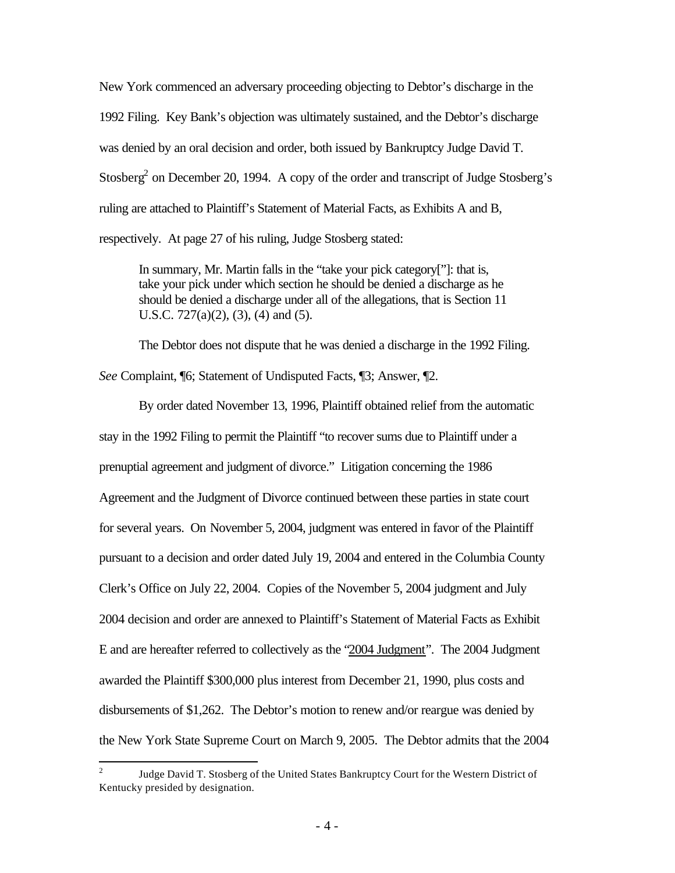New York commenced an adversary proceeding objecting to Debtor's discharge in the 1992 Filing. Key Bank's objection was ultimately sustained, and the Debtor's discharge was denied by an oral decision and order, both issued by Bankruptcy Judge David T. Stosberg<sup>2</sup> on December 20, 1994. A copy of the order and transcript of Judge Stosberg's ruling are attached to Plaintiff's Statement of Material Facts, as Exhibits A and B, respectively. At page 27 of his ruling, Judge Stosberg stated:

In summary, Mr. Martin falls in the "take your pick category["]: that is, take your pick under which section he should be denied a discharge as he should be denied a discharge under all of the allegations, that is Section 11 U.S.C. 727(a)(2), (3), (4) and (5).

The Debtor does not dispute that he was denied a discharge in the 1992 Filing.

*See* Complaint, ¶6; Statement of Undisputed Facts, ¶3; Answer, ¶2.

By order dated November 13, 1996, Plaintiff obtained relief from the automatic stay in the 1992 Filing to permit the Plaintiff "to recover sums due to Plaintiff under a prenuptial agreement and judgment of divorce." Litigation concerning the 1986 Agreement and the Judgment of Divorce continued between these parties in state court for several years. On November 5, 2004, judgment was entered in favor of the Plaintiff pursuant to a decision and order dated July 19, 2004 and entered in the Columbia County Clerk's Office on July 22, 2004. Copies of the November 5, 2004 judgment and July 2004 decision and order are annexed to Plaintiff's Statement of Material Facts as Exhibit E and are hereafter referred to collectively as the "2004 Judgment". The 2004 Judgment awarded the Plaintiff \$300,000 plus interest from December 21, 1990, plus costs and disbursements of \$1,262. The Debtor's motion to renew and/or reargue was denied by the New York State Supreme Court on March 9, 2005. The Debtor admits that the 2004

 $\frac{1}{2}$ Judge David T. Stosberg of the United States Bankruptcy Court for the Western District of Kentucky presided by designation.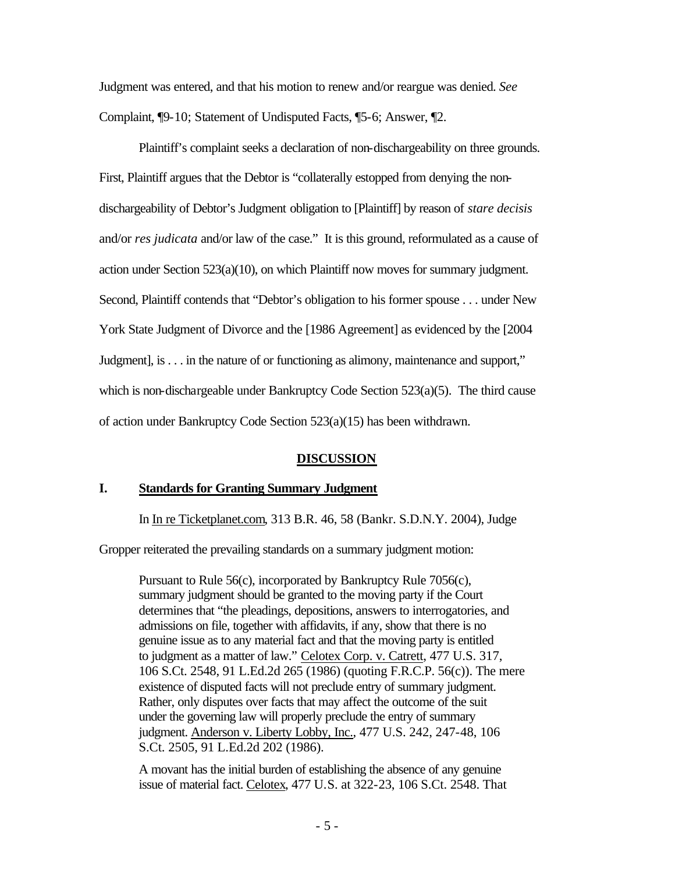Judgment was entered, and that his motion to renew and/or reargue was denied. *See*  Complaint, ¶9-10; Statement of Undisputed Facts, ¶5-6; Answer, ¶2.

Plaintiff's complaint seeks a declaration of non-dischargeability on three grounds. First, Plaintiff argues that the Debtor is "collaterally estopped from denying the nondischargeability of Debtor's Judgment obligation to [Plaintiff] by reason of *stare decisis*  and/or *res judicata* and/or law of the case." It is this ground, reformulated as a cause of action under Section  $523(a)(10)$ , on which Plaintiff now moves for summary judgment. Second, Plaintiff contends that "Debtor's obligation to his former spouse . . . under New York State Judgment of Divorce and the [1986 Agreement] as evidenced by the [2004 Judgment], is . . . in the nature of or functioning as alimony, maintenance and support," which is non-dischargeable under Bankruptcy Code Section 523(a)(5). The third cause of action under Bankruptcy Code Section 523(a)(15) has been withdrawn.

### **DISCUSSION**

### **I. Standards for Granting Summary Judgment**

In In re Ticketplanet.com, 313 B.R. 46, 58 (Bankr. S.D.N.Y. 2004), Judge

Gropper reiterated the prevailing standards on a summary judgment motion:

Pursuant to Rule 56(c), incorporated by Bankruptcy Rule 7056(c), summary judgment should be granted to the moving party if the Court determines that "the pleadings, depositions, answers to interrogatories, and admissions on file, together with affidavits, if any, show that there is no genuine issue as to any material fact and that the moving party is entitled to judgment as a matter of law." Celotex Corp. v. Catrett, 477 U.S. 317, 106 S.Ct. 2548, 91 L.Ed.2d 265 (1986) (quoting F.R.C.P. 56(c)). The mere existence of disputed facts will not preclude entry of summary judgment. Rather, only disputes over facts that may affect the outcome of the suit under the governing law will properly preclude the entry of summary judgment. Anderson v. Liberty Lobby, Inc., 477 U.S. 242, 247-48, 106 S.Ct. 2505, 91 L.Ed.2d 202 (1986).

A movant has the initial burden of establishing the absence of any genuine issue of material fact. Celotex, 477 U.S. at 322-23, 106 S.Ct. 2548. That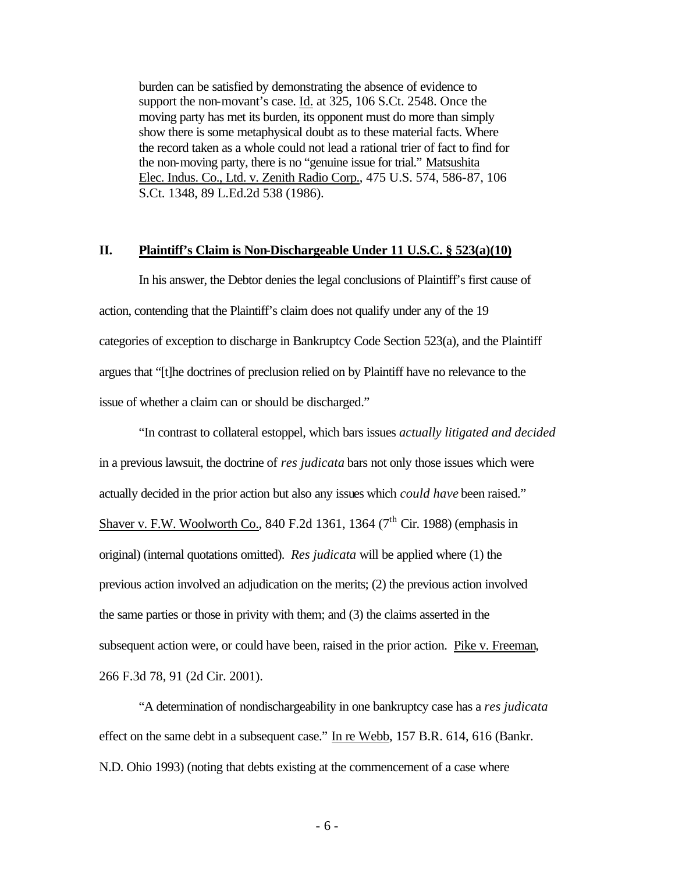burden can be satisfied by demonstrating the absence of evidence to support the non-movant's case. Id. at 325, 106 S.Ct. 2548. Once the moving party has met its burden, its opponent must do more than simply show there is some metaphysical doubt as to these material facts. Where the record taken as a whole could not lead a rational trier of fact to find for the non-moving party, there is no "genuine issue for trial." Matsushita Elec. Indus. Co., Ltd. v. Zenith Radio Corp., 475 U.S. 574, 586-87, 106 S.Ct. 1348, 89 L.Ed.2d 538 (1986).

### **II. Plaintiff's Claim is Non-Dischargeable Under 11 U.S.C. § 523(a)(10)**

In his answer, the Debtor denies the legal conclusions of Plaintiff's first cause of action, contending that the Plaintiff's claim does not qualify under any of the 19 categories of exception to discharge in Bankruptcy Code Section 523(a), and the Plaintiff argues that "[t]he doctrines of preclusion relied on by Plaintiff have no relevance to the issue of whether a claim can or should be discharged."

"In contrast to collateral estoppel, which bars issues *actually litigated and decided* in a previous lawsuit, the doctrine of *res judicata* bars not only those issues which were actually decided in the prior action but also any issues which *could have* been raised." Shaver v. F.W. Woolworth Co., 840 F.2d 1361, 1364 ( $7<sup>th</sup>$  Cir. 1988) (emphasis in original) (internal quotations omitted). *Res judicata* will be applied where (1) the previous action involved an adjudication on the merits; (2) the previous action involved the same parties or those in privity with them; and (3) the claims asserted in the subsequent action were, or could have been, raised in the prior action. Pike v. Freeman, 266 F.3d 78, 91 (2d Cir. 2001).

"A determination of nondischargeability in one bankruptcy case has a *res judicata* effect on the same debt in a subsequent case." In re Webb, 157 B.R. 614, 616 (Bankr. N.D. Ohio 1993) (noting that debts existing at the commencement of a case where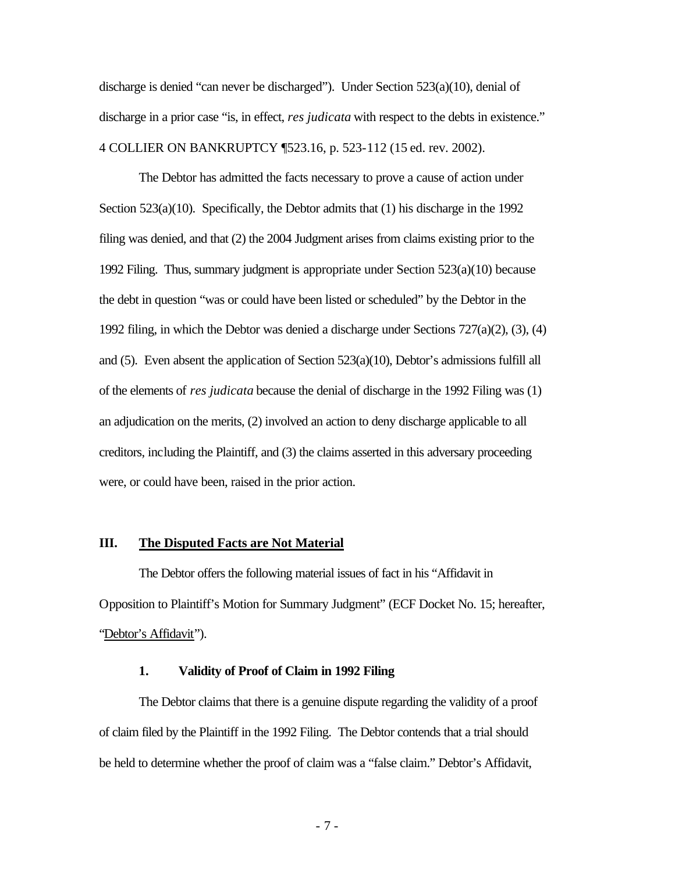discharge is denied "can never be discharged"). Under Section 523(a)(10), denial of discharge in a prior case "is, in effect, *res judicata* with respect to the debts in existence." 4 COLLIER ON BANKRUPTCY ¶523.16, p. 523-112 (15 ed. rev. 2002).

The Debtor has admitted the facts necessary to prove a cause of action under Section  $523(a)(10)$ . Specifically, the Debtor admits that  $(1)$  his discharge in the 1992 filing was denied, and that (2) the 2004 Judgment arises from claims existing prior to the 1992 Filing. Thus, summary judgment is appropriate under Section 523(a)(10) because the debt in question "was or could have been listed or scheduled" by the Debtor in the 1992 filing, in which the Debtor was denied a discharge under Sections 727(a)(2), (3), (4) and (5). Even absent the application of Section 523(a)(10), Debtor's admissions fulfill all of the elements of *res judicata* because the denial of discharge in the 1992 Filing was (1) an adjudication on the merits, (2) involved an action to deny discharge applicable to all creditors, including the Plaintiff, and (3) the claims asserted in this adversary proceeding were, or could have been, raised in the prior action.

### **III. The Disputed Facts are Not Material**

The Debtor offers the following material issues of fact in his "Affidavit in Opposition to Plaintiff's Motion for Summary Judgment" (ECF Docket No. 15; hereafter, "Debtor's Affidavit").

#### **1. Validity of Proof of Claim in 1992 Filing**

The Debtor claims that there is a genuine dispute regarding the validity of a proof of claim filed by the Plaintiff in the 1992 Filing. The Debtor contends that a trial should be held to determine whether the proof of claim was a "false claim." Debtor's Affidavit,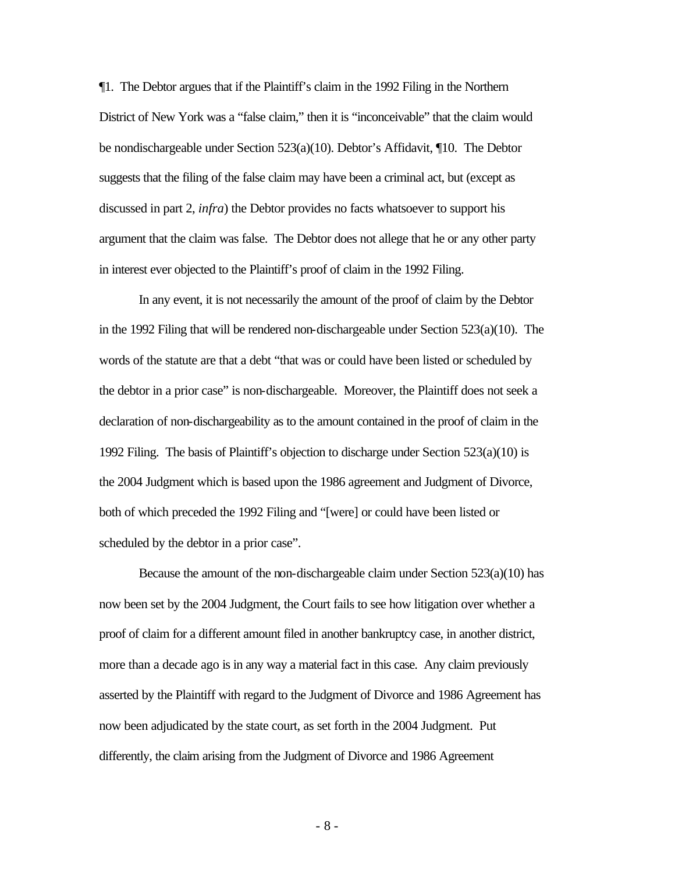¶1. The Debtor argues that if the Plaintiff's claim in the 1992 Filing in the Northern District of New York was a "false claim," then it is "inconceivable" that the claim would be nondischargeable under Section 523(a)(10). Debtor's Affidavit, ¶10. The Debtor suggests that the filing of the false claim may have been a criminal act, but (except as discussed in part 2, *infra*) the Debtor provides no facts whatsoever to support his argument that the claim was false. The Debtor does not allege that he or any other party in interest ever objected to the Plaintiff's proof of claim in the 1992 Filing.

In any event, it is not necessarily the amount of the proof of claim by the Debtor in the 1992 Filing that will be rendered non-dischargeable under Section 523(a)(10). The words of the statute are that a debt "that was or could have been listed or scheduled by the debtor in a prior case" is non-dischargeable. Moreover, the Plaintiff does not seek a declaration of non-dischargeability as to the amount contained in the proof of claim in the 1992 Filing. The basis of Plaintiff's objection to discharge under Section 523(a)(10) is the 2004 Judgment which is based upon the 1986 agreement and Judgment of Divorce, both of which preceded the 1992 Filing and "[were] or could have been listed or scheduled by the debtor in a prior case".

Because the amount of the non-dischargeable claim under Section 523(a)(10) has now been set by the 2004 Judgment, the Court fails to see how litigation over whether a proof of claim for a different amount filed in another bankruptcy case, in another district, more than a decade ago is in any way a material fact in this case. Any claim previously asserted by the Plaintiff with regard to the Judgment of Divorce and 1986 Agreement has now been adjudicated by the state court, as set forth in the 2004 Judgment. Put differently, the claim arising from the Judgment of Divorce and 1986 Agreement

- 8 -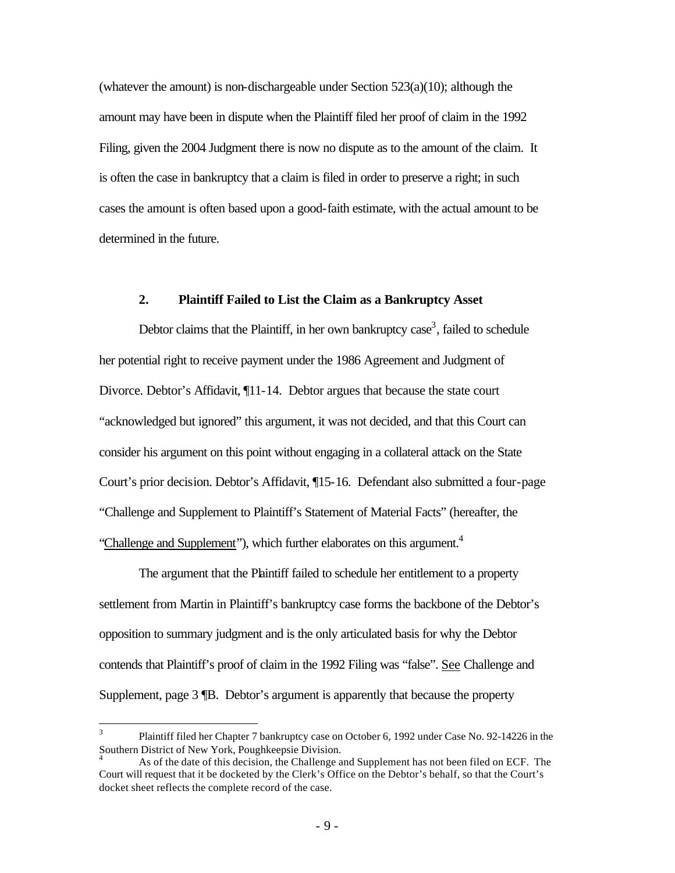(whatever the amount) is non-dischargeable under Section  $523(a)(10)$ ; although the amount may have been in dispute when the Plaintiff filed her proof of claim in the 1992 Filing, given the 2004 Judgment there is now no dispute as to the amount of the claim. It is often the case in bankruptcy that a claim is filed in order to preserve a right; in such cases the amount is often based upon a good-faith estimate, with the actual amount to be determined in the future.

#### **2. Plaintiff Failed to List the Claim as a Bankruptcy Asset**

Debtor claims that the Plaintiff, in her own bankruptcy  $case<sup>3</sup>$ , failed to schedule her potential right to receive payment under the 1986 Agreement and Judgment of Divorce. Debtor's Affidavit, ¶11-14. Debtor argues that because the state court "acknowledged but ignored" this argument, it was not decided, and that this Court can consider his argument on this point without engaging in a collateral attack on the State Court's prior decision. Debtor's Affidavit, ¶15-16. Defendant also submitted a four-page "Challenge and Supplement to Plaintiff's Statement of Material Facts" (hereafter, the "Challenge and Supplement"), which further elaborates on this argument.<sup>4</sup>

The argument that the Plaintiff failed to schedule her entitlement to a property settlement from Martin in Plaintiff's bankruptcy case forms the backbone of the Debtor's opposition to summary judgment and is the only articulated basis for why the Debtor contends that Plaintiff's proof of claim in the 1992 Filing was "false". See Challenge and Supplement, page 3 ¶B. Debtor's argument is apparently that because the property

<sup>&</sup>lt;sup>2</sup><br>3 Plaintiff filed her Chapter 7 bankruptcy case on October 6, 1992 under Case No. 92-14226 in the Southern District of New York, Poughkeepsie Division.

<sup>4</sup> As of the date of this decision, the Challenge and Supplement has not been filed on ECF. The Court will request that it be docketed by the Clerk's Office on the Debtor's behalf, so that the Court's docket sheet reflects the complete record of the case.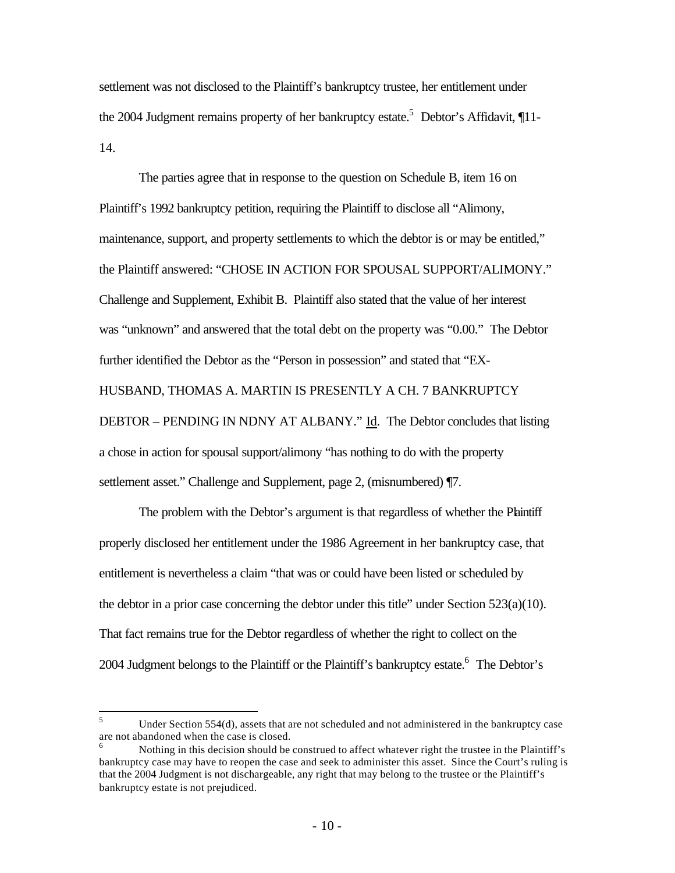settlement was not disclosed to the Plaintiff's bankruptcy trustee, her entitlement under the 2004 Judgment remains property of her bankruptcy estate.<sup>5</sup> Debtor's Affidavit, 11-14.

The parties agree that in response to the question on Schedule B, item 16 on Plaintiff's 1992 bankruptcy petition, requiring the Plaintiff to disclose all "Alimony, maintenance, support, and property settlements to which the debtor is or may be entitled," the Plaintiff answered: "CHOSE IN ACTION FOR SPOUSAL SUPPORT/ALIMONY." Challenge and Supplement, Exhibit B. Plaintiff also stated that the value of her interest was "unknown" and answered that the total debt on the property was "0.00." The Debtor further identified the Debtor as the "Person in possession" and stated that "EX-HUSBAND, THOMAS A. MARTIN IS PRESENTLY A CH. 7 BANKRUPTCY DEBTOR – PENDING IN NDNY AT ALBANY." Id. The Debtor concludes that listing a chose in action for spousal support/alimony "has nothing to do with the property settlement asset." Challenge and Supplement, page 2, (misnumbered)  $\P$ 7.

The problem with the Debtor's argument is that regardless of whether the Plaintiff properly disclosed her entitlement under the 1986 Agreement in her bankruptcy case, that entitlement is nevertheless a claim "that was or could have been listed or scheduled by the debtor in a prior case concerning the debtor under this title" under Section 523(a)(10). That fact remains true for the Debtor regardless of whether the right to collect on the 2004 Judgment belongs to the Plaintiff or the Plaintiff's bankruptcy estate.<sup>6</sup> The Debtor's

<sup>5</sup> <sup>5</sup> Under Section 554(d), assets that are not scheduled and not administered in the bankruptcy case are not abandoned when the case is closed.

Nothing in this decision should be construed to affect whatever right the trustee in the Plaintiff's bankruptcy case may have to reopen the case and seek to administer this asset. Since the Court's ruling is that the 2004 Judgment is not dischargeable, any right that may belong to the trustee or the Plaintiff's bankruptcy estate is not prejudiced.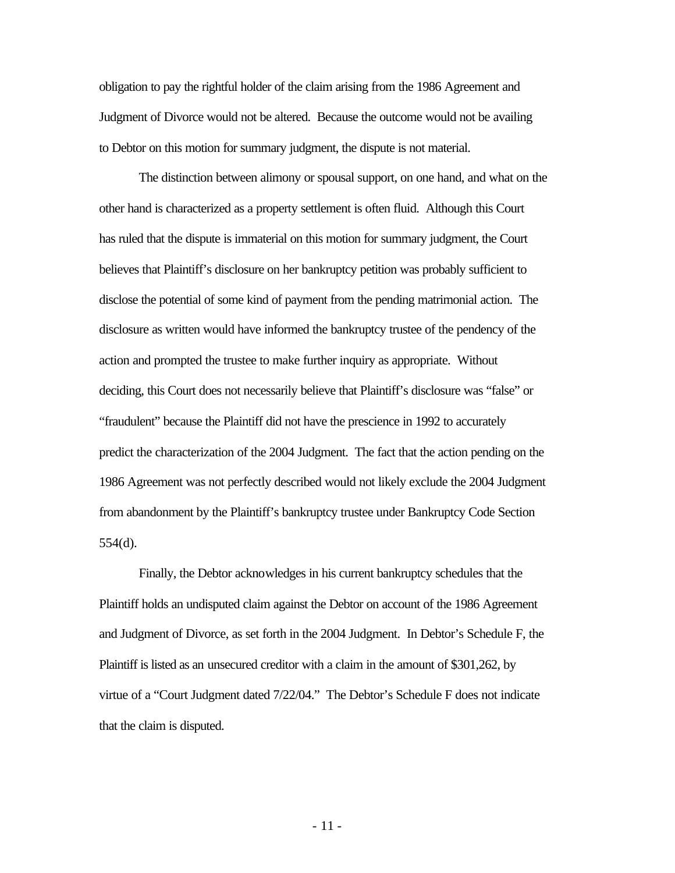obligation to pay the rightful holder of the claim arising from the 1986 Agreement and Judgment of Divorce would not be altered. Because the outcome would not be availing to Debtor on this motion for summary judgment, the dispute is not material.

The distinction between alimony or spousal support, on one hand, and what on the other hand is characterized as a property settlement is often fluid. Although this Court has ruled that the dispute is immaterial on this motion for summary judgment, the Court believes that Plaintiff's disclosure on her bankruptcy petition was probably sufficient to disclose the potential of some kind of payment from the pending matrimonial action. The disclosure as written would have informed the bankruptcy trustee of the pendency of the action and prompted the trustee to make further inquiry as appropriate. Without deciding, this Court does not necessarily believe that Plaintiff's disclosure was "false" or "fraudulent" because the Plaintiff did not have the prescience in 1992 to accurately predict the characterization of the 2004 Judgment. The fact that the action pending on the 1986 Agreement was not perfectly described would not likely exclude the 2004 Judgment from abandonment by the Plaintiff's bankruptcy trustee under Bankruptcy Code Section 554(d).

Finally, the Debtor acknowledges in his current bankruptcy schedules that the Plaintiff holds an undisputed claim against the Debtor on account of the 1986 Agreement and Judgment of Divorce, as set forth in the 2004 Judgment. In Debtor's Schedule F, the Plaintiff is listed as an unsecured creditor with a claim in the amount of \$301,262, by virtue of a "Court Judgment dated 7/22/04." The Debtor's Schedule F does not indicate that the claim is disputed.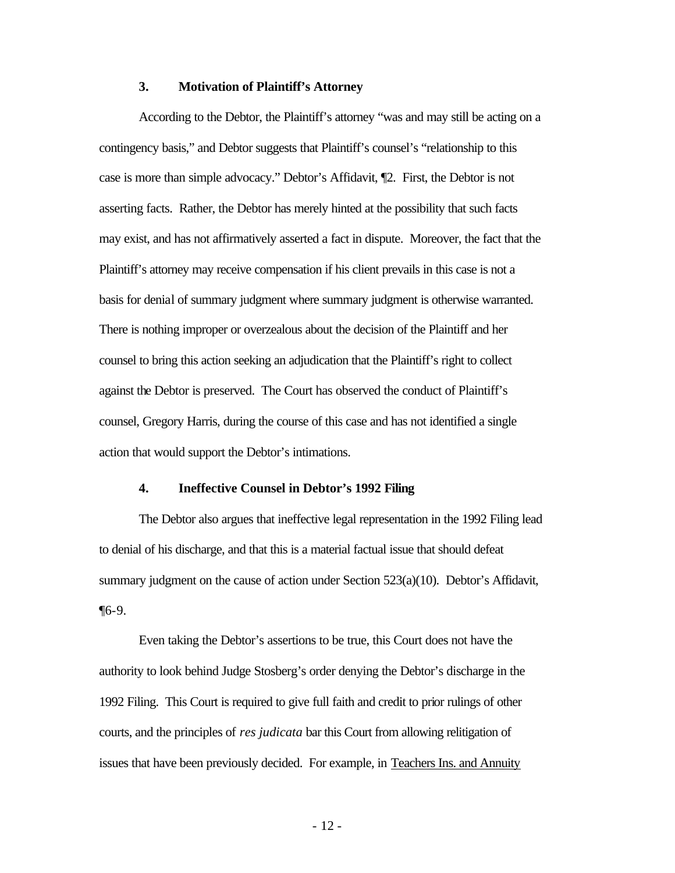#### **3. Motivation of Plaintiff's Attorney**

According to the Debtor, the Plaintiff's attorney "was and may still be acting on a contingency basis," and Debtor suggests that Plaintiff's counsel's "relationship to this case is more than simple advocacy." Debtor's Affidavit, ¶2. First, the Debtor is not asserting facts. Rather, the Debtor has merely hinted at the possibility that such facts may exist, and has not affirmatively asserted a fact in dispute. Moreover, the fact that the Plaintiff's attorney may receive compensation if his client prevails in this case is not a basis for denial of summary judgment where summary judgment is otherwise warranted. There is nothing improper or overzealous about the decision of the Plaintiff and her counsel to bring this action seeking an adjudication that the Plaintiff's right to collect against the Debtor is preserved. The Court has observed the conduct of Plaintiff's counsel, Gregory Harris, during the course of this case and has not identified a single action that would support the Debtor's intimations.

#### **4. Ineffective Counsel in Debtor's 1992 Filing**

The Debtor also argues that ineffective legal representation in the 1992 Filing lead to denial of his discharge, and that this is a material factual issue that should defeat summary judgment on the cause of action under Section  $523(a)(10)$ . Debtor's Affidavit, ¶6-9.

Even taking the Debtor's assertions to be true, this Court does not have the authority to look behind Judge Stosberg's order denying the Debtor's discharge in the 1992 Filing. This Court is required to give full faith and credit to prior rulings of other courts, and the principles of *res judicata* bar this Court from allowing relitigation of issues that have been previously decided. For example, in Teachers Ins. and Annuity